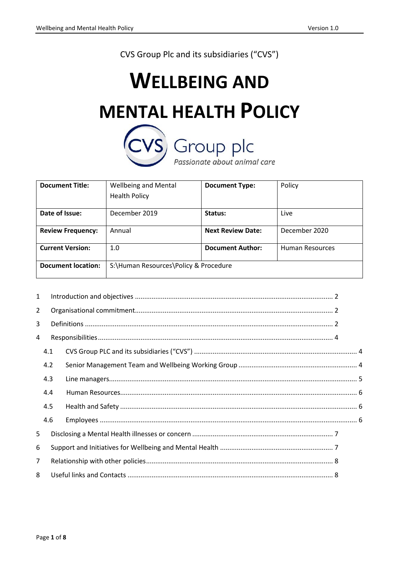CVS Group Plc and its subsidiaries ("CVS")

# **WELLBEING AND MENTAL HEALTH POLICY**<br>
CVS<sub></sub> Group plc

Passionate about animal care

| <b>Document Title:</b>    | <b>Wellbeing and Mental</b><br><b>Health Policy</b> | <b>Document Type:</b>    | Policy          |
|---------------------------|-----------------------------------------------------|--------------------------|-----------------|
| Date of Issue:            | December 2019                                       | Status:                  | Live            |
| <b>Review Frequency:</b>  | Annual                                              | <b>Next Review Date:</b> | December 2020   |
| <b>Current Version:</b>   | 1.0                                                 | <b>Document Author:</b>  | Human Resources |
| <b>Document location:</b> | S:\Human Resources\Policy & Procedure               |                          |                 |

| $\mathbf{1}$   |     |  |  |  |
|----------------|-----|--|--|--|
| $\overline{2}$ |     |  |  |  |
| 3              |     |  |  |  |
| 4              |     |  |  |  |
|                | 4.1 |  |  |  |
|                | 4.2 |  |  |  |
|                | 4.3 |  |  |  |
|                | 4.4 |  |  |  |
|                | 4.5 |  |  |  |
|                | 4.6 |  |  |  |
| 5              |     |  |  |  |
| 6              |     |  |  |  |
| $\overline{7}$ |     |  |  |  |
| 8              |     |  |  |  |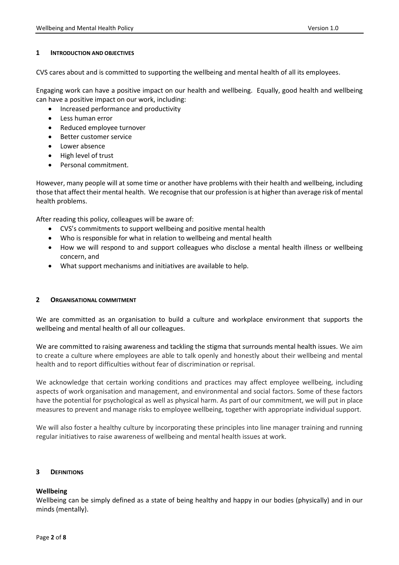## <span id="page-1-0"></span>**1 INTRODUCTION AND OBJECTIVES**

CVS cares about and is committed to supporting the wellbeing and mental health of all its employees.

Engaging work can have a positive impact on our health and wellbeing. Equally, good health and wellbeing can have a positive impact on our work, including:

- Increased performance and productivity
- Less human error
- Reduced employee turnover
- Better customer service
- Lower absence
- High level of trust
- Personal commitment.

However, many people will at some time or another have problems with their health and wellbeing, including those that affect their mental health. We recognise that our profession is at higher than average risk of mental health problems.

After reading this policy, colleagues will be aware of:

- CVS's commitments to support wellbeing and positive mental health
- Who is responsible for what in relation to wellbeing and mental health
- How we will respond to and support colleagues who disclose a mental health illness or wellbeing concern, and
- What support mechanisms and initiatives are available to help.

# <span id="page-1-1"></span>**2 ORGANISATIONAL COMMITMENT**

We are committed as an organisation to build a culture and workplace environment that supports the wellbeing and mental health of all our colleagues.

We are committed to raising awareness and tackling the stigma that surrounds mental health issues. We aim to create a culture where employees are able to talk openly and honestly about their wellbeing and mental health and to report difficulties without fear of discrimination or reprisal.

We acknowledge that certain working conditions and practices may affect employee wellbeing, including aspects of work organisation and management, and environmental and social factors. Some of these factors have the potential for psychological as well as physical harm. As part of our commitment, we will put in place measures to prevent and manage risks to employee wellbeing, together with appropriate individual support.

We will also foster a healthy culture by incorporating these principles into line manager training and running regular initiatives to raise awareness of wellbeing and mental health issues at work.

# <span id="page-1-2"></span>**3 DEFINITIONS**

# **Wellbeing**

Wellbeing can be simply defined as a state of being healthy and happy in our bodies (physically) and in our minds (mentally).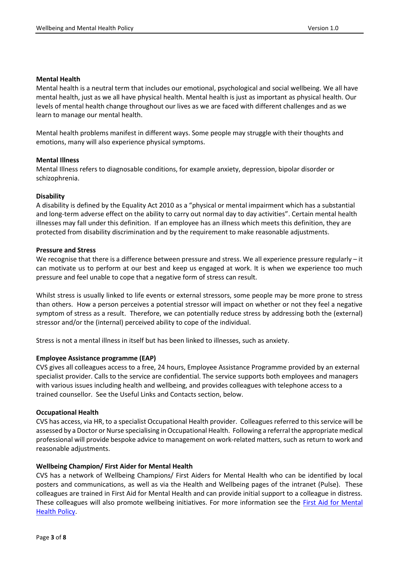#### **Mental Health**

Mental health is a neutral term that includes our emotional, psychological and social wellbeing. We all have mental health, just as we all have physical health. Mental health is just as important as physical health. Our levels of mental health change throughout our lives as we are faced with different challenges and as we learn to manage our mental health.

Mental health problems manifest in different ways. Some people may struggle with their thoughts and emotions, many will also experience physical symptoms.

## **Mental Illness**

Mental Illness refers to diagnosable conditions, for example anxiety, depression, bipolar disorder or schizophrenia.

## **Disability**

A disability is defined by the Equality Act 2010 as a "physical or mental impairment which has a substantial and long-term adverse effect on the ability to carry out normal day to day activities". Certain mental health illnesses may fall under this definition. If an employee has an illness which meets this definition, they are protected from disability discrimination and by the requirement to make reasonable adjustments.

## **Pressure and Stress**

We recognise that there is a difference between pressure and stress. We all experience pressure regularly – it can motivate us to perform at our best and keep us engaged at work. It is when we experience too much pressure and feel unable to cope that a negative form of stress can result.

Whilst stress is usually linked to life events or external stressors, some people may be more prone to stress than others. How a person perceives a potential stressor will impact on whether or not they feel a negative symptom of stress as a result. Therefore, we can potentially reduce stress by addressing both the (external) stressor and/or the (internal) perceived ability to cope of the individual.

Stress is not a mental illness in itself but has been linked to illnesses, such as anxiety.

#### **Employee Assistance programme (EAP)**

CVS gives all colleagues access to a free, 24 hours, Employee Assistance Programme provided by an external specialist provider. Calls to the service are confidential. The service supports both employees and managers with various issues including health and wellbeing, and provides colleagues with telephone access to a trained counsellor. See the Useful Links and Contacts section, below.

#### **Occupational Health**

CVS has access, via HR, to a specialist Occupational Health provider. Colleagues referred to this service will be assessed by a Doctor or Nurse specialising in Occupational Health. Following a referral the appropriate medical professional will provide bespoke advice to management on work-related matters, such as return to work and reasonable adjustments.

# **Wellbeing Champion/ First Aider for Mental Health**

CVS has a network of Wellbeing Champions/ First Aiders for Mental Health who can be identified by local posters and communications, as well as via the Health and Wellbeing pages of the intranet (Pulse). These colleagues are trained in First Aid for Mental Health and can provide initial support to a colleague in distress. These colleagues will also promote wellbeing initiatives. For more information see the [First Aid for Mental](http://cvs-sharepoint/HealthandWellbeing/Wellbeing%20Champions/First%20Aid%20for%20Mental%20Health%20Policy.pdf)  [Health Policy.](http://cvs-sharepoint/HealthandWellbeing/Wellbeing%20Champions/First%20Aid%20for%20Mental%20Health%20Policy.pdf)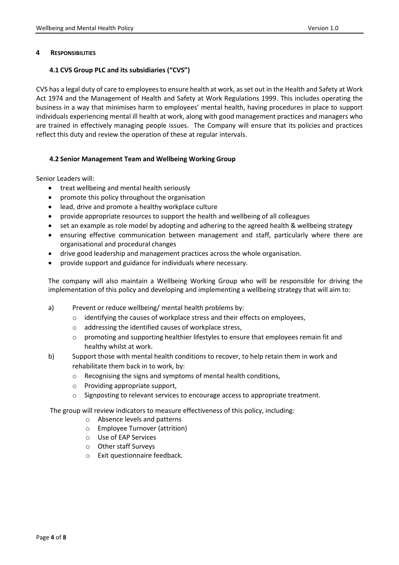## <span id="page-3-1"></span><span id="page-3-0"></span>**4 RESPONSIBILITIES**

# **4.1 CVS Group PLC and its subsidiaries ("CVS")**

CVS has a legal duty of care to employees to ensure health at work, as set out in the Health and Safety at Work Act 1974 and the Management of Health and Safety at Work Regulations 1999. This includes operating the business in a way that minimises harm to employees' mental health, having procedures in place to support individuals experiencing mental ill health at work, along with good management practices and managers who are trained in effectively managing people issues. The Company will ensure that its policies and practices reflect this duty and review the operation of these at regular intervals.

# <span id="page-3-2"></span>**4.2 Senior Management Team and Wellbeing Working Group**

Senior Leaders will:

- treat wellbeing and mental health seriously
- promote this policy throughout the organisation
- lead, drive and promote a healthy workplace culture
- provide appropriate resources to support the health and wellbeing of all colleagues
- set an example as role model by adopting and adhering to the agreed health & wellbeing strategy
- ensuring effective communication between management and staff, particularly where there are organisational and procedural changes
- drive good leadership and management practices across the whole organisation.
- provide support and guidance for individuals where necessary.

The company will also maintain a Wellbeing Working Group who will be responsible for driving the implementation of this policy and developing and implementing a wellbeing strategy that will aim to:

- a) Prevent or reduce wellbeing/ mental health problems by:
	- o identifying the causes of workplace stress and their effects on employees,
	- o addressing the identified causes of workplace stress,
	- $\circ$  promoting and supporting healthier lifestyles to ensure that employees remain fit and healthy whilst at work.
- b) Support those with mental health conditions to recover, to help retain them in work and rehabilitate them back in to work, by:
	- o Recognising the signs and symptoms of mental health conditions,
	- o Providing appropriate support,
	- o Signposting to relevant services to encourage access to appropriate treatment.

The group will review indicators to measure effectiveness of this policy, including:

- o Absence levels and patterns
- o Employee Turnover (attrition)
- o Use of EAP Services
- o Other staff Surveys
- o Exit questionnaire feedback.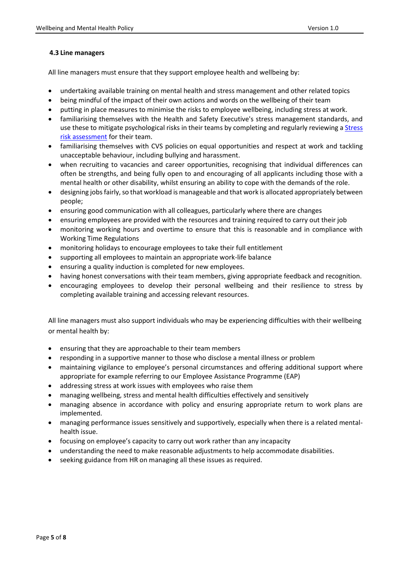# <span id="page-4-0"></span>**4.3 Line managers**

All line managers must ensure that they support employee health and wellbeing by:

- undertaking available training on mental health and stress management and other related topics
- being mindful of the impact of their own actions and words on the wellbeing of their team
- putting in place measures to minimise the risks to employee wellbeing, including stress at work.
- familiarising themselves with the Health and Safety Executive's stress management standards, and use these to mitigate psychological risks in their teams by completing and regularly reviewing a **Stress** [risk assessment](http://cvs-sharepoint/HealthandWellbeing/Health%20and%20Wellbeing%20Resources/Resources%20for%20Managers/Stress%20Risk%20Assessment%20Template.docx) for their team.
- familiarising themselves with CVS policies on equal opportunities and respect at work and tackling unacceptable behaviour, including bullying and harassment.
- when recruiting to vacancies and career opportunities, recognising that individual differences can often be strengths, and being fully open to and encouraging of all applicants including those with a mental health or other disability, whilst ensuring an ability to cope with the demands of the role.
- designing jobsfairly, so that workload is manageable and that work is allocated appropriately between people;
- ensuring good communication with all colleagues, particularly where there are changes
- ensuring employees are provided with the resources and training required to carry out their job
- monitoring working hours and overtime to ensure that this is reasonable and in compliance with Working Time Regulations
- monitoring holidays to encourage employees to take their full entitlement
- supporting all employees to maintain an appropriate work-life balance
- ensuring a quality induction is completed for new employees.
- having honest conversations with their team members, giving appropriate feedback and recognition.
- encouraging employees to develop their personal wellbeing and their resilience to stress by completing available training and accessing relevant resources.

All line managers must also support individuals who may be experiencing difficulties with their wellbeing or mental health by:

- ensuring that they are approachable to their team members
- responding in a supportive manner to those who disclose a mental illness or problem
- maintaining vigilance to employee's personal circumstances and offering additional support where appropriate for example referring to our Employee Assistance Programme (EAP)
- addressing stress at work issues with employees who raise them
- managing wellbeing, stress and mental health difficulties effectively and sensitively
- managing absence in accordance with policy and ensuring appropriate return to work plans are implemented.
- managing performance issues sensitively and supportively, especially when there is a related mentalhealth issue.
- focusing on employee's capacity to carry out work rather than any incapacity
- understanding the need to make reasonable adjustments to help accommodate disabilities.
- seeking guidance from HR on managing all these issues as required.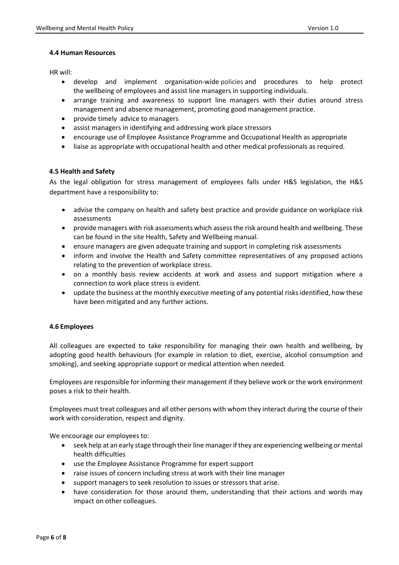## <span id="page-5-0"></span>**4.4 Human Resources**

HR will:

- develop and implement organisation-wide policies and procedures to help protect the wellbeing of employees and assist line managers in supporting individuals.
- arrange training and awareness to support line managers with their duties around stress management and absence management, promoting good management practice.
- provide timely advice to managers
- assist managers in identifying and addressing work place stressors
- encourage use of Employee Assistance Programme and Occupational Health as appropriate
- liaise as appropriate with occupational health and other medical professionals as required.

# <span id="page-5-1"></span>**4.5 Health and Safety**

As the legal obligation for stress management of employees falls under H&S legislation, the H&S department have a responsibility to:

- advise the company on health and safety best practice and provide guidance on workplace risk assessments
- provide managers with risk assessments which assess the risk around health and wellbeing. These can be found in the site Health, Safety and Wellbeing manual.
- ensure managers are given adequate training and support in completing risk assessments
- inform and involve the Health and Safety committee representatives of any proposed actions relating to the prevention of workplace stress.
- on a monthly basis review accidents at work and assess and support mitigation where a connection to work place stress is evident.
- update the business at the monthly executive meeting of any potential risks identified, how these have been mitigated and any further actions.

# <span id="page-5-2"></span>**4.6 Employees**

All colleagues are expected to take responsibility for managing their own health and wellbeing, by adopting good health behaviours (for example in relation to diet, exercise, alcohol consumption and smoking), and seeking appropriate support or medical attention when needed.

Employees are responsible for informing their management if they believe work or the work environment poses a risk to their health.

Employees must treat colleagues and all other persons with whom they interact during the course of their work with consideration, respect and dignity.

We encourage our employees to:

- seek help at an early stage through their line manager if they are experiencing wellbeing or mental health difficulties
- use the Employee Assistance Programme for expert support
- raise issues of concern including stress at work with their line manager
- support managers to seek resolution to issues or stressors that arise.
- have consideration for those around them, understanding that their actions and words may impact on other colleagues.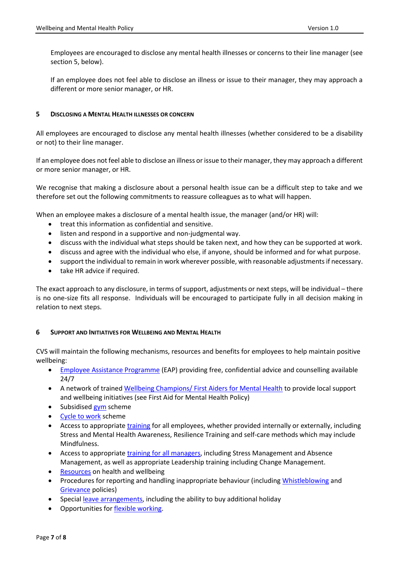Employees are encouraged to disclose any mental health illnesses or concerns to their line manager (see section 5, below).

If an employee does not feel able to disclose an illness or issue to their manager, they may approach a different or more senior manager, or HR.

## <span id="page-6-0"></span>**5 DISCLOSING A MENTAL HEALTH ILLNESSES OR CONCERN**

All employees are encouraged to disclose any mental health illnesses (whether considered to be a disability or not) to their line manager.

If an employee does not feel able to disclose an illness or issue to their manager, they may approach a different or more senior manager, or HR.

We recognise that making a disclosure about a personal health issue can be a difficult step to take and we therefore set out the following commitments to reassure colleagues as to what will happen.

When an employee makes a disclosure of a mental health issue, the manager (and/or HR) will:

- treat this information as confidential and sensitive.
- listen and respond in a supportive and non-judgmental way.
- discuss with the individual what steps should be taken next, and how they can be supported at work.
- discuss and agree with the individual who else, if anyone, should be informed and for what purpose.
- support the individual to remain in work wherever possible, with reasonable adjustments if necessary.
- take HR advice if required.

The exact approach to any disclosure, in terms of support, adjustments or next steps, will be individual – there is no one-size fits all response. Individuals will be encouraged to participate fully in all decision making in relation to next steps.

#### <span id="page-6-1"></span>**6 SUPPORT AND INITIATIVES FOR WELLBEING AND MENTAL HEALTH**

CVS will maintain the following mechanisms, resources and benefits for employees to help maintain positive wellbeing:

- [Employee Assistance Programme](http://cvs-sharepoint/HealthandWellbeing/_layouts/15/start.aspx#/Employee%20Assistance%20Programme/Forms/AllItems.aspx) (EAP) providing free, confidential advice and counselling available 24/7
- A network of trained [Wellbeing Champions/ First Aiders for Mental Health](http://cvs-sharepoint/HealthandWellbeing/_layouts/15/start.aspx#/Wellbeing%20Champions/Forms/AllItems.aspx) to provide local support and wellbeing initiatives (see First Aid for Mental Health Policy)
- Subsidised [gym](http://cvs-sharepoint/HR/Employee%20Benefits/Forms/AllItems.aspx) scheme
- [Cycle to work](http://cvs-sharepoint/HR/Employee%20Benefits/Forms/AllItems.aspx) scheme
- Access to appropriat[e training](https://www.cvs-knowledgehub.com/) for all employees, whether provided internally or externally, including Stress and Mental Health Awareness, Resilience Training and self-care methods which may include Mindfulness.
- Access to appropriat[e training for all managers,](https://www.cvs-knowledgehub.com/) including Stress Management and Absence Management, as well as appropriate Leadership training including Change Management.
- [Resources](http://cvs-sharepoint/HealthandWellbeing/_layouts/15/start.aspx#/Health%20and%20Wellbeing%20Resources/Forms/AllItems.aspx) on health and wellbeing
- Procedures for reporting and handling inappropriate behaviour (including [Whistleblowing](http://cvs-sharepoint/HR/Policies%20Procedures%20and%20Guidelines/Whistleblowing%20-%20Public%20Interest%20Disclosure%20Policy.pdf) and [Grievance](http://cvs-sharepoint/HR/Policies%20Procedures%20and%20Guidelines/Grievance%20policy%20v2.pdf) policies)
- Special [leave arrangements,](http://cvs-sharepoint/HR/_layouts/15/start.aspx#/Policies%20Procedures%20and%20Guidelines/Forms/AllItems.aspx?RootFolder=%2FHR%2FPolicies%20Procedures%20and%20Guidelines%2FAbsence%2C%20Leave&FolderCTID=0x0120004244209FEE9F2C4883D0289C63AA8D31&View=%7B269D1729%2D0AFC%2D46EC%2D98BD%2D7E4451BCE0BB%7D) including the ability to buy additional holiday
- Opportunities for [flexible working.](http://cvs-sharepoint/HR/Policies%20Procedures%20and%20Guidelines/Flexible%20Working/Flexible%20Working%20Policy%20-%20v3.pdf)